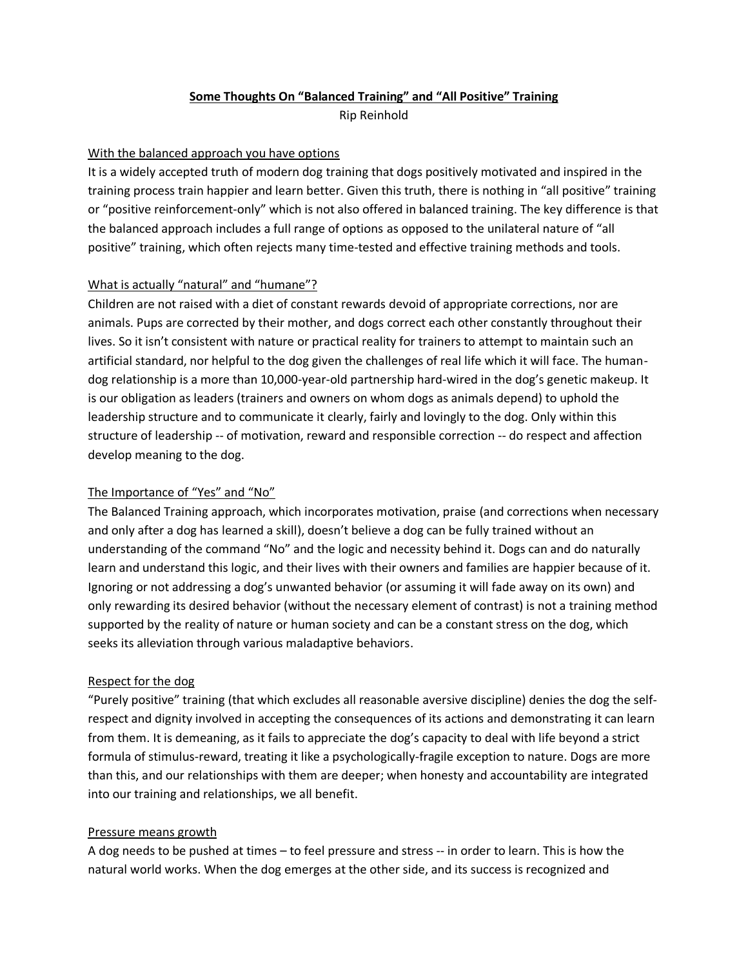## **Some Thoughts On "Balanced Training" and "All Positive" Training**

Rip Reinhold

## With the balanced approach you have options

It is a widely accepted truth of modern dog training that dogs positively motivated and inspired in the training process train happier and learn better. Given this truth, there is nothing in "all positive" training or "positive reinforcement-only" which is not also offered in balanced training. The key difference is that the balanced approach includes a full range of options as opposed to the unilateral nature of "all positive" training, which often rejects many time-tested and effective training methods and tools.

# What is actually "natural" and "humane"?

Children are not raised with a diet of constant rewards devoid of appropriate corrections, nor are animals. Pups are corrected by their mother, and dogs correct each other constantly throughout their lives. So it isn't consistent with nature or practical reality for trainers to attempt to maintain such an artificial standard, nor helpful to the dog given the challenges of real life which it will face. The humandog relationship is a more than 10,000-year-old partnership hard-wired in the dog's genetic makeup. It is our obligation as leaders (trainers and owners on whom dogs as animals depend) to uphold the leadership structure and to communicate it clearly, fairly and lovingly to the dog. Only within this structure of leadership -- of motivation, reward and responsible correction -- do respect and affection develop meaning to the dog.

# The Importance of "Yes" and "No"

The Balanced Training approach, which incorporates motivation, praise (and corrections when necessary and only after a dog has learned a skill), doesn't believe a dog can be fully trained without an understanding of the command "No" and the logic and necessity behind it. Dogs can and do naturally learn and understand this logic, and their lives with their owners and families are happier because of it. Ignoring or not addressing a dog's unwanted behavior (or assuming it will fade away on its own) and only rewarding its desired behavior (without the necessary element of contrast) is not a training method supported by the reality of nature or human society and can be a constant stress on the dog, which seeks its alleviation through various maladaptive behaviors.

#### Respect for the dog

"Purely positive" training (that which excludes all reasonable aversive discipline) denies the dog the selfrespect and dignity involved in accepting the consequences of its actions and demonstrating it can learn from them. It is demeaning, as it fails to appreciate the dog's capacity to deal with life beyond a strict formula of stimulus-reward, treating it like a psychologically-fragile exception to nature. Dogs are more than this, and our relationships with them are deeper; when honesty and accountability are integrated into our training and relationships, we all benefit.

#### Pressure means growth

A dog needs to be pushed at times – to feel pressure and stress -- in order to learn. This is how the natural world works. When the dog emerges at the other side, and its success is recognized and